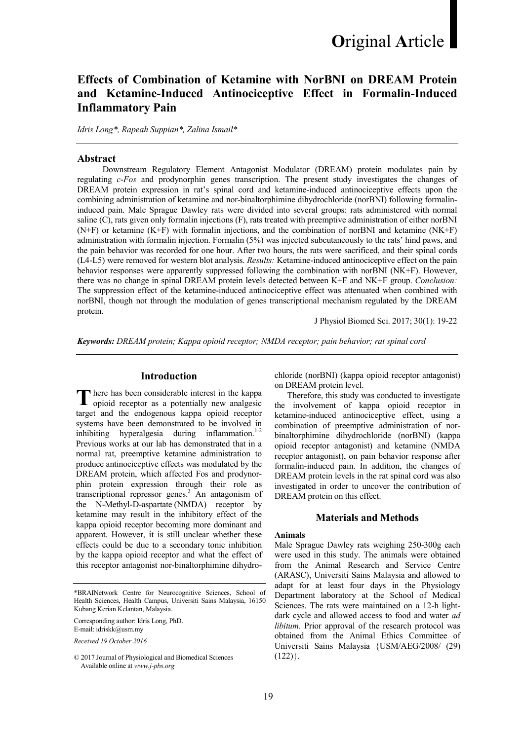# Effects of Combination of Ketamine with NorBNI on DREAM Protein and Ketamine-Induced Antinociceptive Effect in Formalin-Induced Inflammatory Pain

Idris Long\*, Rapeah Suppian\*, Zalina Ismail\*

#### Abstract

 Downstream Regulatory Element Antagonist Modulator (DREAM) protein modulates pain by regulating c-Fos and prodynorphin genes transcription. The present study investigates the changes of DREAM protein expression in rat's spinal cord and ketamine-induced antinociceptive effects upon the combining administration of ketamine and nor-binaltorphimine dihydrochloride (norBNI) following formalininduced pain. Male Sprague Dawley rats were divided into several groups: rats administered with normal saline (C), rats given only formalin injections (F), rats treated with preemptive administration of either norBNI (N+F) or ketamine (K+F) with formalin injections, and the combination of norBNI and ketamine (NK+F) administration with formalin injection. Formalin (5%) was injected subcutaneously to the rats' hind paws, and the pain behavior was recorded for one hour. After two hours, the rats were sacrificed, and their spinal cords (L4-L5) were removed for western blot analysis. Results: Ketamine-induced antinociceptive effect on the pain behavior responses were apparently suppressed following the combination with norBNI (NK+F). However, there was no change in spinal DREAM protein levels detected between K+F and NK+F group. Conclusion: The suppression effect of the ketamine-induced antinociceptive effect was attenuated when combined with norBNI, though not through the modulation of genes transcriptional mechanism regulated by the DREAM protein.

J Physiol Biomed Sci. 2017; 30(1): 19-22

Keywords: DREAM protein; Kappa opioid receptor; NMDA receptor; pain behavior; rat spinal cord

# Introduction

here has been considerable interest in the kappa There has been considerable interest in the kappa opioid receptor as a potentially new analgesic target and the endogenous kappa opioid receptor systems have been demonstrated to be involved in inhibiting hyperalgesia during inflammation. $1-2$ Previous works at our lab has demonstrated that in a normal rat, preemptive ketamine administration to produce antinociceptive effects was modulated by the DREAM protein, which affected Fos and prodynorphin protein expression through their role as transcriptional repressor genes.<sup>3</sup> An antagonism of the N-Methyl-D-aspartate (NMDA) receptor by ketamine may result in the inhibitory effect of the kappa opioid receptor becoming more dominant and apparent. However, it is still unclear whether these effects could be due to a secondary tonic inhibition by the kappa opioid receptor and what the effect of this receptor antagonist nor-binaltorphimine dihydro-

\*BRAINetwork Centre for Neurocognitive Sciences, School of Health Sciences, Health Campus, Universiti Sains Malaysia, 16150 Kubang Kerian Kelantan, Malaysia.

Corresponding author: Idris Long, PhD. E-mail: idriskk@usm.my

Received 19 October 2016

chloride (norBNI) (kappa opioid receptor antagonist) on DREAM protein level.

Therefore, this study was conducted to investigate the involvement of kappa opioid receptor in ketamine-induced antinociceptive effect, using a combination of preemptive administration of norbinaltorphimine dihydrochloride (norBNI) (kappa opioid receptor antagonist) and ketamine (NMDA receptor antagonist), on pain behavior response after formalin-induced pain. In addition, the changes of DREAM protein levels in the rat spinal cord was also investigated in order to uncover the contribution of DREAM protein on this effect.

## Materials and Methods

## Animals

Male Sprague Dawley rats weighing 250-300g each were used in this study. The animals were obtained from the Animal Research and Service Centre (ARASC), Universiti Sains Malaysia and allowed to adapt for at least four days in the Physiology Department laboratory at the School of Medical Sciences. The rats were maintained on a 12-h lightdark cycle and allowed access to food and water ad libitum. Prior approval of the research protocol was obtained from the Animal Ethics Committee of Universiti Sains Malaysia {USM/AEG/2008/ (29)  $(122)$ .

<sup>© 2017</sup> Journal of Physiological and Biomedical Sciences Available online at www.j-pbs.org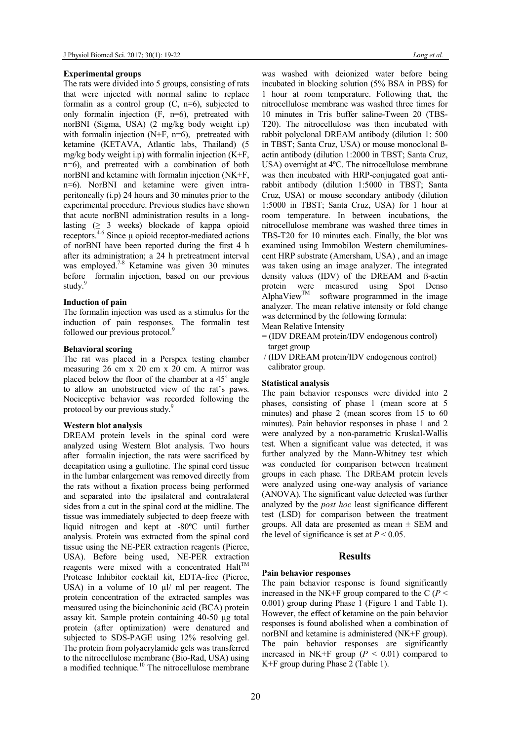## Experimental groups

The rats were divided into 5 groups, consisting of rats that were injected with normal saline to replace formalin as a control group  $(C, n=6)$ , subjected to only formalin injection (F, n=6), pretreated with norBNI (Sigma, USA) (2 mg/kg body weight i.p) with formalin injection (N+F, n=6), pretreated with ketamine (KETAVA, Atlantic labs, Thailand) (5 mg/kg body weight i.p) with formalin injection  $(K+F,$ n=6), and pretreated with a combination of both norBNI and ketamine with formalin injection (NK+F, n=6). NorBNI and ketamine were given intraperitoneally (i.p) 24 hours and 30 minutes prior to the experimental procedure. Previous studies have shown that acute norBNI administration results in a longlasting  $(≥ 3$  weeks) blockade of kappa opioid receptors. $4-6$  Since μ opioid receptor-mediated actions of norBNI have been reported during the first 4 h after its administration; a 24 h pretreatment interval was employed.<sup>7-8</sup> Ketamine was given 30 minutes before formalin injection, based on our previous study.<sup>9</sup>

## Induction of pain

The formalin injection was used as a stimulus for the induction of pain responses. The formalin test followed our previous protocol.<sup>9</sup>

#### Behavioral scoring

The rat was placed in a Perspex testing chamber measuring 26 cm x 20 cm x 20 cm. A mirror was placed below the floor of the chamber at a 45˚ angle to allow an unobstructed view of the rat's paws. Nociceptive behavior was recorded following the protocol by our previous study.<sup>9</sup>

#### Western blot analysis

DREAM protein levels in the spinal cord were analyzed using Western Blot analysis. Two hours after formalin injection, the rats were sacrificed by decapitation using a guillotine. The spinal cord tissue in the lumbar enlargement was removed directly from the rats without a fixation process being performed and separated into the ipsilateral and contralateral sides from a cut in the spinal cord at the midline. The tissue was immediately subjected to deep freeze with liquid nitrogen and kept at -80ºC until further analysis. Protein was extracted from the spinal cord tissue using the NE-PER extraction reagents (Pierce, USA). Before being used, NE-PER extraction reagents were mixed with a concentrated  $H$ alt<sup>TM</sup> Protease Inhibitor cocktail kit, EDTA-free (Pierce, USA) in a volume of 10  $\mu$ *l*/ ml per reagent. The protein concentration of the extracted samples was measured using the bicinchoninic acid (BCA) protein assay kit. Sample protein containing 40-50 μg total protein (after optimization) were denatured and subjected to SDS-PAGE using 12% resolving gel. The protein from polyacrylamide gels was transferred to the nitrocellulose membrane (Bio-Rad, USA) using a modified technique. $10$  The nitrocellulose membrane

was washed with deionized water before being incubated in blocking solution (5% BSA in PBS) for 1 hour at room temperature. Following that, the nitrocellulose membrane was washed three times for 10 minutes in Tris buffer saline-Tween 20 (TBS-T20). The nitrocellulose was then incubated with rabbit polyclonal DREAM antibody (dilution 1: 500 in TBST; Santa Cruz, USA) or mouse monoclonal ßactin antibody (dilution 1:2000 in TBST; Santa Cruz, USA) overnight at 4ºC. The nitrocellulose membrane was then incubated with HRP-conjugated goat antirabbit antibody (dilution 1:5000 in TBST; Santa Cruz, USA) or mouse secondary antibody (dilution 1:5000 in TBST; Santa Cruz, USA) for 1 hour at room temperature. In between incubations, the nitrocellulose membrane was washed three times in TBS-T20 for 10 minutes each. Finally, the blot was examined using Immobilon Western chemiluminescent HRP substrate (Amersham, USA) , and an image was taken using an image analyzer. The integrated density values (IDV) of the DREAM and ß-actin protein were measured using Spot Denso  $\Delta$ lphaView<sup>TM</sup> software programmed in the image analyzer. The mean relative intensity or fold change was determined by the following formula:

- Mean Relative Intensity
- = (IDV DREAM protein/IDV endogenous control) target group
- / (IDV DREAM protein/IDV endogenous control) calibrator group.

## Statistical analysis

The pain behavior responses were divided into 2 phases, consisting of phase 1 (mean score at 5 minutes) and phase 2 (mean scores from 15 to 60 minutes). Pain behavior responses in phase 1 and 2 were analyzed by a non-parametric Kruskal-Wallis test. When a significant value was detected, it was further analyzed by the Mann-Whitney test which was conducted for comparison between treatment groups in each phase. The DREAM protein levels were analyzed using one-way analysis of variance (ANOVA). The significant value detected was further analyzed by the post hoc least significance different test (LSD) for comparison between the treatment groups. All data are presented as mean  $\pm$  SEM and the level of significance is set at  $P < 0.05$ .

# **Results**

#### Pain behavior responses

The pain behavior response is found significantly increased in the NK+F group compared to the C ( $P$  < 0.001) group during Phase 1 (Figure 1 and Table 1). However, the effect of ketamine on the pain behavior responses is found abolished when a combination of norBNI and ketamine is administered (NK+F group). The pain behavior responses are significantly increased in NK+F group ( $P < 0.01$ ) compared to K+F group during Phase 2 (Table 1).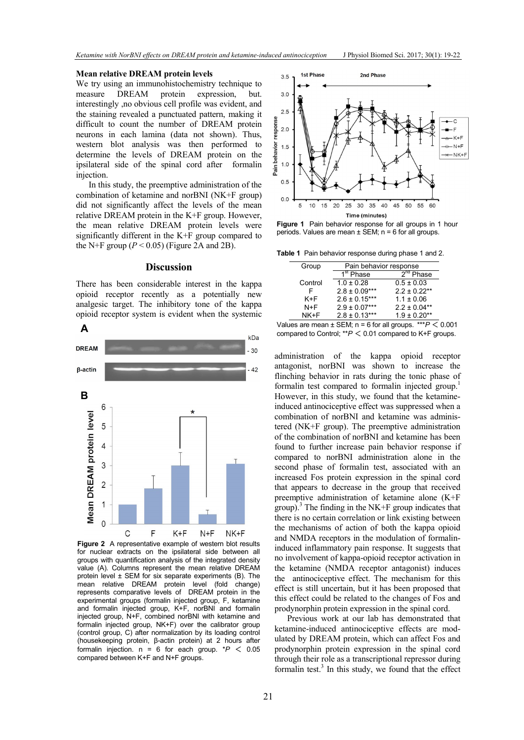# Mean relative DREAM protein levels

We try using an immunohistochemistry technique to measure DREAM protein expression, but. interestingly ,no obvious cell profile was evident, and the staining revealed a punctuated pattern, making it difficult to count the number of DREAM protein neurons in each lamina (data not shown). Thus, western blot analysis was then performed to determine the levels of DREAM protein on the ipsilateral side of the spinal cord after formalin injection.

In this study, the preemptive administration of the combination of ketamine and norBNI (NK+F group) did not significantly affect the levels of the mean relative DREAM protein in the K+F group. However, the mean relative DREAM protein levels were significantly different in the K+F group compared to the N+F group ( $P < 0.05$ ) (Figure 2A and 2B).

## **Discussion**

There has been considerable interest in the kappa opioid receptor recently as a potentially new analgesic target. The inhibitory tone of the kappa opioid receptor system is evident when the systemic



Figure 2 A representative example of western blot results for nuclear extracts on the ipsilateral side between all groups with quantification analysis of the integrated density value (A). Columns represent the mean relative DREAM protein level ± SEM for six separate experiments (B). The mean relative DREAM protein level (fold change) represents comparative levels of DREAM protein in the experimental groups (formalin injected group, F, ketamine and formalin injected group, K+F, norBNI and formalin injected group, N+F, combined norBNI with ketamine and formalin injected group, NK+F) over the calibrator group (control group, C) after normalization by its loading control (housekeeping protein, β-actin protein) at 2 hours after formalin injection.  $n = 6$  for each group. \* $P < 0.05$ compared between K+F and N+F groups.



Figure 1 Pain behavior response for all groups in 1 hour periods. Values are mean  $\pm$  SEM; n = 6 for all groups.

Table 1 Pain behavior response during phase 1 and 2.

|   | Group   | Pain behavior response |                   |
|---|---------|------------------------|-------------------|
|   |         | 1 <sup>st</sup> Phase  | $2^{nq}$ Phase    |
|   | Control | $1.0 \pm 0.28$         | $0.5 \pm 0.03$    |
|   | F       | $2.8 \pm 0.09***$      | $2.2 \pm 0.22$ ** |
|   | K+F     | $2.6 \pm 0.15***$      | $1.1 \pm 0.06$    |
|   | $N+F$   | $2.9 \pm 0.07***$      | $2.2 \pm 0.04**$  |
|   | NK+F    | $2.8 \pm 0.13***$      | $1.9 \pm 0.20**$  |
| . |         | - -                    | <br>.             |

Values are mean  $\pm$  SEM; n = 6 for all groups. \*\*\* $P < 0.001$  $A$ <br>compared to Control;  $*P < 0.01$  compared to Control;  $*P < 0.01$  compared to K+F groups.

> administration of the kappa opioid receptor antagonist, norBNI was shown to increase the flinching behavior in rats during the tonic phase of formalin test compared to formalin injected group.<sup>1</sup> However, in this study, we found that the ketamineinduced antinociceptive effect was suppressed when a combination of norBNI and ketamine was administered (NK+F group). The preemptive administration of the combination of norBNI and ketamine has been found to further increase pain behavior response if compared to norBNI administration alone in the second phase of formalin test, associated with an increased Fos protein expression in the spinal cord that appears to decrease in the group that received preemptive administration of ketamine alone (K+F group).<sup>3</sup> The finding in the NK+F group indicates that there is no certain correlation or link existing between the mechanisms of action of both the kappa opioid and NMDA receptors in the modulation of formalininduced inflammatory pain response. It suggests that no involvement of kappa-opioid receptor activation in the ketamine (NMDA receptor antagonist) induces the antinociceptive effect. The mechanism for this effect is still uncertain, but it has been proposed that this effect could be related to the changes of Fos and prodynorphin protein expression in the spinal cord.

> Previous work at our lab has demonstrated that ketamine-induced antinociceptive effects are modulated by DREAM protein, which can affect Fos and prodynorphin protein expression in the spinal cord through their role as a transcriptional repressor during formalin test.<sup>3</sup> In this study, we found that the effect